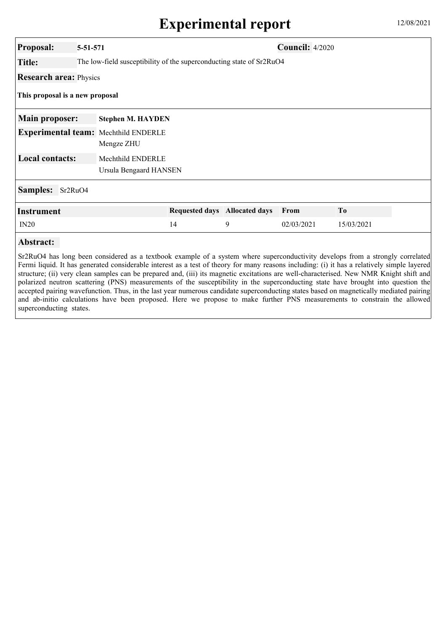| <b>Proposal:</b>                       | 5-51-571                             |                                                                      |   | <b>Council: 4/2020</b> |                |  |  |
|----------------------------------------|--------------------------------------|----------------------------------------------------------------------|---|------------------------|----------------|--|--|
| <b>Title:</b>                          |                                      | The low-field susceptibility of the superconducting state of Sr2RuO4 |   |                        |                |  |  |
| <b>Research area: Physics</b>          |                                      |                                                                      |   |                        |                |  |  |
| This proposal is a new proposal        |                                      |                                                                      |   |                        |                |  |  |
| <b>Main proposer:</b>                  | <b>Stephen M. HAYDEN</b>             |                                                                      |   |                        |                |  |  |
|                                        | Experimental team: Mechthild ENDERLE |                                                                      |   |                        |                |  |  |
|                                        | Mengze ZHU                           |                                                                      |   |                        |                |  |  |
| <b>Local contacts:</b>                 | Mechthild ENDERLE                    |                                                                      |   |                        |                |  |  |
|                                        |                                      | Ursula Bengaard HANSEN                                               |   |                        |                |  |  |
| <b>Samples:</b><br>Sr <sub>2RuO4</sub> |                                      |                                                                      |   |                        |                |  |  |
| <b>Instrument</b>                      |                                      | Requested days Allocated days                                        |   | From                   | T <sub>0</sub> |  |  |
| IN20                                   |                                      | 14                                                                   | 9 | 02/03/2021             | 15/03/2021     |  |  |
| Abstract:                              |                                      |                                                                      |   |                        |                |  |  |

Sr2RuO4 has long been considered as a textbook example of a system where superconductivity develops from a strongly correlated Fermi liquid. It has generated considerable interest as a test of theory for many reasons including: (i) it has a relatively simple layered structure; (ii) very clean samples can be prepared and, (iii) its magnetic excitations are well-characterised. New NMR Knight shift and polarized neutron scattering (PNS) measurements of the susceptibility in the superconducting state have brought into question the accepted pairing wavefunction. Thus, in the last year numerous candidate superconducting states based on magnetically mediated pairing and ab-initio calculations have been proposed. Here we propose to make further PNS measurements to constrain the allowed superconducting states.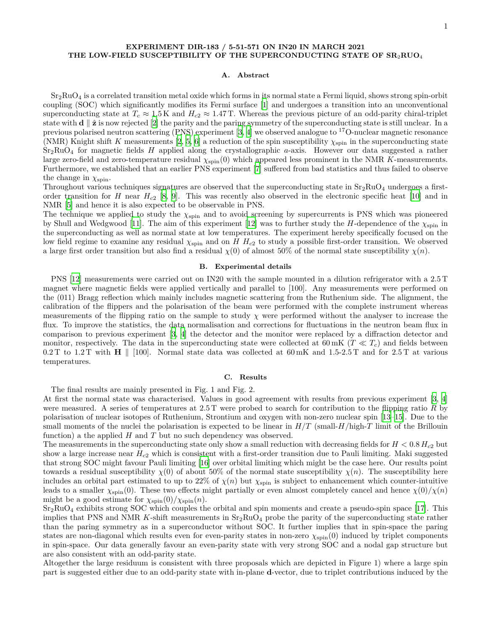# **EXPERIMENT DIR-183 / 5-51-571 ON IN20 IN MARCH 2021 THE LOW-FIELD SUSCEPTIBILITY OF THE SUPERCONDUCTING STATE OF SR**2**RUO**<sup>4</sup>

#### **A. Abstract**

 $Sr<sub>2</sub>RuO<sub>4</sub>$  is a correlated transition metal oxide which forms in its normal state a Fermi liquid, shows strong spin-orbit coupling (SOC) which significantly modifies its Fermi surface [1] and undergoes a transition into an unconventional superconducting state at  $T_c \approx 1.5 \text{ K}$  and  $H_{c2} \approx 1.47 \text{ T}$ . Whereas the previous picture of an odd-parity chiral-triplet state with **d**  $\parallel$   $\hat{\mathbf{z}}$  is now rejected [2] the parity and the paring symmetry of the superconducting state is still unclear. In a previous polarised neutron scattering (PNS) experiment [3, 4] we observed analogue to  $^{17}$ O-nuclear magnetic resonance (NMR) Knight shift *K* measurements [2, 5, 6] a reduction of the spin susceptibility  $\chi_{spin}$  in the superconducting state Sr2RuO<sup>4</sup> for magnetic fields *H* applied along the crystallographic *a*-axis. However our data suggested a rather large zero-field and zero-temperature residual *χ*spin(0) which appeared less prominent in the NMR *K*-measurements. Furthermore, we established that an earlier PNS experiment [7] suffered from bad statistics and thus failed to observe the change in  $\chi_{\text{spin}}$ .

Throughout various techniques signatures are observed that the superconducting state in  $Sr_2RuO_4$  undergoes a firstorder transition for *H* near  $H_{c2}$  [8, 9]. This was recently also observed in the electronic specific heat [10] and in NMR [5] and hence it is also expected to be observable in PNS.

The technique we applied to study the  $\chi_{spin}$  and to avoid screening by supercurrents is PNS which was pioneered by Shull and Wedgwood [11]. The aim of this experiment [12] was to further study the *H*-dependence of the *χ*spin in the superconducting as well as normal state at low temperatures. The experiment hereby specifically focused on the low field regime to examine any residual  $\chi_{spin}$  and on *H H<sub>c</sub>*2 to study a possible first-order transition. We observed a large first order transition but also find a residual  $\chi(0)$  of almost 50% of the normal state susceptibility  $\chi(n)$ .

## **B. Experimental details**

PNS [12] measurements were carried out on IN20 with the sample mounted in a dilution refrigerator with a 2.5 T magnet where magnetic fields were applied vertically and parallel to [100]. Any measurements were performed on the (011) Bragg reflection which mainly includes magnetic scattering from the Ruthenium side. The alignment, the calibration of the flippers and the polarisation of the beam were performed with the complete instrument whereas measurements of the flipping ratio on the sample to study *χ* were performed without the analyser to increase the flux. To improve the statistics, the data normalisation and corrections for fluctuations in the neutron beam flux in comparison to previous experiment [3, 4] the detector and the monitor were replaced by a diffraction detector and monitor, respectively. The data in the superconducting state were collected at  $60 \text{ mK}$  ( $T \ll T_c$ ) and fields between 0.2 T to 1.2 T with **H** *∥* [100]. Normal state data was collected at 60 mK and 1.5-2.5 T and for 2.5 T at various temperatures.

### **C. Results**

The final results are mainly presented in Fig. 1 and Fig. 2.

At first the normal state was characterised. Values in good agreement with results from previous experiment [3, 4] were measured. A series of temperatures at 2.5 T were probed to search for contribution to the flipping ratio *R* by polarisation of nuclear isotopes of Ruthenium, Strontium and oxygen with non-zero nuclear spin [13–15]. Due to the small moments of the nuclei the polarisation is expected to be linear in  $H/T$  (small- $H/\text{high-}T$  limit of the Brillouin function) a the applied  $H$  and  $T$  but no such dependency was observed.

The measurements in the superconducting state only show a small reduction with decreasing fields for  $H < 0.8$   $H_{c2}$  but show a large increase near *Hc*<sup>2</sup> which is consistent with a first-order transition due to Pauli limiting. Maki suggested that strong SOC might favour Pauli limiting [16] over orbital limiting which might be the case here. Our results point towards a residual susceptibility  $\chi(0)$  of about 50% of the normal state susceptibility  $\chi(n)$ . The susceptibility here includes an orbital part estimated to up to 22% of  $\chi(n)$  but  $\chi_{spin}$  is subject to enhancement which counter-intuitive leads to a smaller  $\chi_{spin}(0)$ . These two effects might partially or even almost completely cancel and hence  $\chi(0)/\chi(n)$ might be a good estimate for  $\chi_{\rm spin}(0)/\chi_{\rm spin}(n)$ .

 $Sr<sub>2</sub>RuO<sub>4</sub>$  exhibits strong SOC which couples the orbital and spin moments and create a pseudo-spin space [17]. This implies that PNS and NMR  $K$ -shift measurements in  $Sr_2RuO_4$  probe the parity of the superconducting state rather than the paring symmetry as in a superconductor without SOC. It further implies that in spin-space the paring states are non-diagonal which results even for even-parity states in non-zero  $\chi_{\rm spin}(0)$  induced by triplet components in spin-space. Our data generally favour an even-parity state with very strong SOC and a nodal gap structure but are also consistent with an odd-parity state.

Altogether the large residuum is consistent with three proposals which are depicted in Figure 1) where a large spin part is suggested either due to an odd-parity state with in-plane **d**-vector, due to triplet contributions induced by the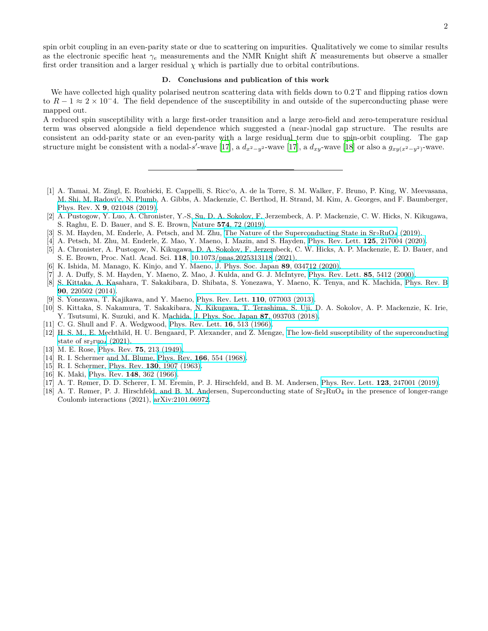spin orbit coupling in an even-parity state or due to scattering on impurities. Qualitatively we come to similar results as the electronic specific heat  $\gamma_e$  measurements and the NMR Knight shift *K* measurements but observe a smaller first order transition and a larger residual  $\chi$  which is partially due to orbital contributions.

# **D. Conclusions and publication of this work**

We have collected high quality polarised neutron scattering data with fields down to 0.2 T and flipping ratios down to *R −* 1 *≈* 2 *×* 10*−*4. The field dependence of the susceptibility in and outside of the superconducting phase were mapped out.

A reduced spin susceptibility with a large first-order transition and a large zero-field and zero-temperature residual term was observed alongside a field dependence which suggested a (near-)nodal gap structure. The results are consistent an odd-parity state or an even-parity with a large residual term due to spin-orbit coupling. The gap structure might be consistent with a nodal-*s'*-wave [17], a  $d_{x^2-y^2}$ -wave [17], a  $d_{xy}$ -wave [18] or also a  $g_{xy(x^2-y^2)}$ -wave.

- [1] A. Tamai, M. Zingl, E. Rozbicki, E. Cappelli, S. Ricc'o, A. de la Torre, S. M. Walker, F. Bruno, P. King, W. Meevasana, M. Shi, M. Radovi'c, N. Plumb, A. Gibbs, A. Mackenzie, C. Berthod, H. Strand, M. Kim, A. Georges, and F. Baumberger, Phys. Rev. X **9**[, 021048 \(2019\)](https://doi.org/10.1103/PhysRevX.9.021048).
- [2] A. Pustogow, Y. Luo, A. Chronister, Y.-S. Su, D. A. Sokolov, F. Jerzembeck, A. P. Mackenzie, C. W. Hicks, N. Kikugawa, S. Raghu, E. D. Bauer, and S. E. Brown, Nature **574**[, 72 \(2019\).](https://doi.org/10.1038s41586-019-1596-2)
- [3] S. M. Hayden, M. Enderle, A. Petsch, and M. Zhu, The Nature of the Superconducting State in  $Sr_2RuO_4$  (2019).
- [4] A. Petsch, M. Zhu, M. Enderle, Z. Mao, Y. Maeno, I. Mazin, and S. Hayden, [Phys. Rev. Lett.](https://doi.org/10.1103/physrevlett.125.217004) **125**, 217004 (2020).
- [5] A. Chronister, A. Pustogow, N. Kikugawa, D. A. Sokolov, F. Jerzembeck, C. W. Hicks, A. P. Mackenzie, E. D. Bauer, and S. E. Brown, Proc. Natl. Acad. Sci. **118**, [10.1073/pnas.2025313118](https://doi.org/10.1073/pnas.2025313118) (2021).
- [6] K. Ishida, M. Manago, K. Kinjo, and Y. Maeno, [J. Phys. Soc. Japan](https://doi.org/10.7566/JPSJ.89.034712) **89**, 034712 (2020).
- [7] J. A. Duffy, S. M. Hayden, Y. Maeno, Z. Mao, J. Kulda, and G. J. McIntyre, [Phys. Rev. Lett.](https://doi.org/10.1103/physrevlett.85.5412) **85**, 5412 (2000).
- [8] S. Kittaka, A. Kasahara, T. Sakakibara, D. Shibata, S. Yonezawa, Y. Maeno, K. Tenya, and K. Machida, [Phys. Rev. B](https://doi.org/10.1103/PhysRevB.90.220502) **90**[, 220502 \(2014\).](https://doi.org/10.1103/PhysRevB.90.220502)
- [9] S. Yonezawa, T. Kajikawa, and Y. Maeno, [Phys. Rev. Lett.](https://doi.org/10.1103/physrevlett.110.077003) **110**, 077003 (2013).
- [10] S. Kittaka, S. Nakamura, T. Sakakibara, N. Kikugawa, T. Terashima, S. Uji, D. A. Sokolov, A. P. Mackenzie, K. Irie, Y. Tsutsumi, K. Suzuki, and K. Machida, [J. Phys. Soc. Japan](https://doi.org/10.7566/JPSJ.87.093703) **87**, 093703 (2018).
- [11] C. G. Shull and F. A. Wedgwood, [Phys. Rev. Lett.](https://doi.org/10.1103/physrevlett.16.513) **16**, 513 (1966).
- [12] H. S. M., E. Mechthild, H. U. Bengaard, P. Alexander, and Z. Mengze, [The low-field susceptibility of the superconducting](https://doi.org/10.5291/ILL-DATA.5-51-571) state of  $sr_2ruo_4$  (2021).
- [13] M. E. Rose, Phys. Rev. **75**[, 213 \(1949\)](https://doi.org/10.1103/physrev.75.213.2).
- [14] R. I. Schermer and M. Blume, Phys. Rev. **166**[, 554 \(1968\)](https://doi.org/10.1103/physrev.166.554).
- [15] R. I. Schermer, Phys. Rev. **130**[, 1907 \(1963\).](https://doi.org/10.1103/physrev.130.1907)
- [16] K. Maki, Phys. Rev. **148**[, 362 \(1966\).](https://doi.org/10.1103/physrev.148.362)
- [17] A. T. Rømer, D. D. Scherer, I. M. Eremin, P. J. Hirschfeld, and B. M. Andersen, [Phys. Rev. Lett.](https://doi.org/10.1103/PhysRevLett.123.247001) **123**, 247001 (2019).
- [18] A. T. Rømer, P. J. Hirschfeld, and B. M. Andersen, Superconducting state of  $Sr_2RuO_4$  in the presence of longer-range Coulomb interactions (2021), [arXiv:2101.06972.](https://arxiv.org/abs/2101.06972)